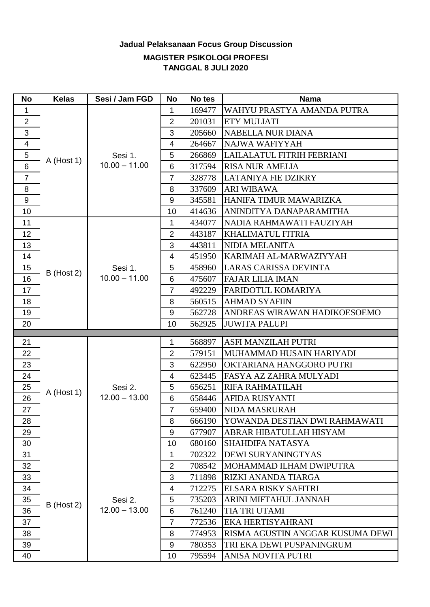## **Jadual Pelaksanaan Focus Group Discussion**

## **MAGISTER PSIKOLOGI PROFESI TANGGAL 8 JULI 2020**

| <b>No</b>       | <b>Kelas</b> | Sesi / Jam FGD                                           | <b>No</b>       | No tes | <b>Nama</b>                      |
|-----------------|--------------|----------------------------------------------------------|-----------------|--------|----------------------------------|
| 1               |              |                                                          | 1               | 169477 | WAHYU PRASTYA AMANDA PUTRA       |
| $\overline{2}$  |              |                                                          | $\overline{2}$  | 201031 | <b>ETY MULIATI</b>               |
| 3               |              |                                                          | 3               | 205660 | <b>NABELLA NUR DIANA</b>         |
| 4               | $A$ (Host 1) | Sesi 1.<br>$10.00 - 11.00$                               | $\overline{4}$  | 264667 | NAJWA WAFIYYAH                   |
| 5               |              |                                                          | 5               | 266869 | LAILALATUL FITRIH FEBRIANI       |
| 6               |              |                                                          | 6               | 317594 | <b>RISA NUR AMELIA</b>           |
| $\overline{7}$  |              |                                                          | $\overline{7}$  | 328778 | <b>LATANIYA FIE DZIKRY</b>       |
| 8               |              |                                                          | 8               | 337609 | <b>ARI WIBAWA</b>                |
| 9               |              |                                                          | 9               | 345581 | HANIFA TIMUR MAWARIZKA           |
| 10 <sup>1</sup> |              |                                                          | 10              | 414636 | ANINDITYA DANAPARAMITHA          |
| 11              |              | Sesi 1.<br>$10.00 - 11.00$                               | 1               | 434077 | NADIA RAHMAWATI FAUZIYAH         |
| 12              |              |                                                          | $\overline{2}$  | 443187 | <b>KHALIMATUL FITRIA</b>         |
| 13              |              |                                                          | 3               | 443811 | <b>NIDIA MELANITA</b>            |
| 14              |              |                                                          | $\overline{4}$  | 451950 | KARIMAH AL-MARWAZIYYAH           |
| 15              |              |                                                          | 5               | 458960 | <b>LARAS CARISSA DEVINTA</b>     |
| 16              | B (Host 2)   |                                                          | 6               | 475607 | <b>FAJAR LILIA IMAN</b>          |
| 17              |              |                                                          | $\overline{7}$  | 492229 | FARIDOTUL KOMARIYA               |
| 18              |              |                                                          | 8               | 560515 | <b>AHMAD SYAFIIN</b>             |
| 19              |              |                                                          | 9               | 562728 | ANDREAS WIRAWAN HADIKOESOEMO     |
| 20              |              |                                                          | 10 <sup>1</sup> | 562925 | <b>JUWITA PALUPI</b>             |
| 21              |              |                                                          | 1               | 568897 | ASFI MANZILAH PUTRI              |
| 22              |              |                                                          | $\overline{2}$  | 579151 | MUHAMMAD HUSAIN HARIYADI         |
| 23              |              | Sesi 2.<br>$12.00 - 13.00$<br>Sesi 2.<br>$12.00 - 13.00$ | 3               | 622950 | OKTARIANA HANGGORO PUTRI         |
| 24              |              |                                                          | 4               | 623445 | FASYA AZ ZAHRA MULYADI           |
| 25              |              |                                                          | 5               | 656251 | RIFA RAHMATILAH                  |
| 26              | $A$ (Host 1) |                                                          | 6               | 658446 | <b>AFIDA RUSYANTI</b>            |
| 27              |              |                                                          | $\overline{7}$  | 659400 | NIDA MASRURAH                    |
| 28              |              |                                                          | 8               | 666190 | YOWANDA DESTIAN DWI RAHMAWATI    |
| 29              |              |                                                          | 9               | 677907 | ABRAR HIBATULLAH HISYAM          |
| 30              |              |                                                          | 10              | 680160 | <b>SHAHDIFA NATASYA</b>          |
| 31              |              |                                                          | 1               | 702322 | DEWI SURYANINGTYAS               |
| 32              |              |                                                          | $\overline{2}$  | 708542 | MOHAMMAD ILHAM DWIPUTRA          |
| 33              |              |                                                          | 3               | 711898 | RIZKI ANANDA TIARGA              |
| 34              | $B$ (Host 2) |                                                          | 4               | 712275 | ELSARA RISKY SAFITRI             |
| 35              |              |                                                          | 5               | 735203 | ARINI MIFTAHUL JANNAH            |
| 36              |              |                                                          | 6               | 761240 | TIA TRI UTAMI                    |
| 37              |              |                                                          | $\overline{7}$  | 772536 | EKA HERTISYAHRANI                |
| 38              |              |                                                          | 8               | 774953 | RISMA AGUSTIN ANGGAR KUSUMA DEWI |
| 39              |              |                                                          | 9               | 780353 | TRI EKA DEWI PUSPANINGRUM        |
| 40              |              |                                                          | 10              | 795594 | ANISA NOVITA PUTRI               |
|                 |              |                                                          |                 |        |                                  |